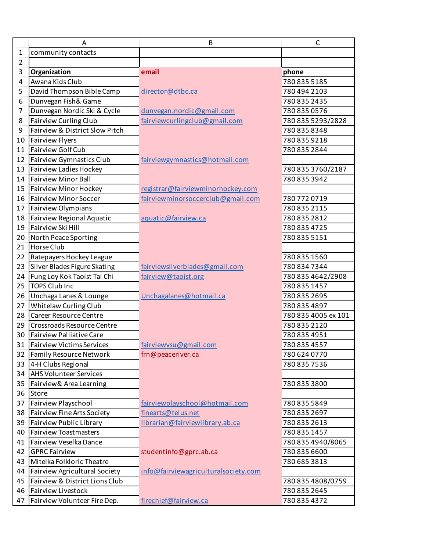|    | A                                 | B                                    | $\mathsf{C}$        |
|----|-----------------------------------|--------------------------------------|---------------------|
| 1  | community contacts                |                                      |                     |
| 2  |                                   |                                      |                     |
| 3  | Organization                      | email                                | phone               |
| 4  | Awana Kids Club                   |                                      | 780 835 5185        |
| 5  | David Thompson Bible Camp         | director@dtbc.ca                     | 780 494 2103        |
| 6  | Dunvegan Fish& Game               |                                      | 780 835 2435        |
| 7  | Dunvegan Nordic Ski & Cycle       | dunvegan.nordic@gmail.com            | 780 835 0576        |
| 8  | Fairview Curling Club             | fairviewcurlingclub@gmail.com        | 780 835 5293/2828   |
| 9  | Fairview & District Slow Pitch    |                                      | 780 835 8348        |
| 10 | <b>Fairview Flyers</b>            |                                      | 780 835 9218        |
| 11 | <b>Fairview Golf Cub</b>          |                                      | 780 835 2844        |
| 12 | Fairview Gymnastics Club          | fairviewgymnastics@hotmail.com       |                     |
| 13 | <b>Fairview Ladies Hockey</b>     |                                      | 780 835 3760/2187   |
| 14 | <b>Fairview Minor Ball</b>        |                                      | 780 835 3942        |
| 15 | <b>Fairview Minor Hockey</b>      | registrar@fairviewminorhockey.com    |                     |
| 16 | <b>Fairview Minor Soccer</b>      | fairviewminorsoccerclub@gmail.com    | 7807720719          |
| 17 | Fairview Olympians                |                                      | 780 835 2115        |
| 18 | Fairview Regional Aquatic         | aquatic@fairview.ca                  | 780 835 2812        |
| 19 | Fairview Ski Hill                 |                                      | 780 835 4725        |
| 20 | North Peace Sporting              |                                      | 780 835 5151        |
| 21 | Horse Club                        |                                      |                     |
| 22 | Ratepayers Hockey League          |                                      | 780 835 1560        |
| 23 | Silver Blades Figure Skating      | fairviewsilverblades@gmail.com       | 780 834 7344        |
| 24 | Fung Loy Kok Taoist Tai Chi       | fairview@taoist.org                  | 780 835 4642/2908   |
| 25 | <b>TOPS Club Inc</b>              |                                      | 780 835 1457        |
| 26 | Unchaga Lanes & Lounge            | Unchagalanes@hotmail.ca              | 780 835 2695        |
| 27 | Whitelaw Curling Club             |                                      | 780 835 4897        |
| 28 | Career Resource Centre            |                                      | 780 835 4005 ex 101 |
| 29 | Crossroads Resource Centre        |                                      | 780 835 2120        |
| 30 | <b>Fairview Palliative Care</b>   |                                      | 780 835 4951        |
| 31 | <b>Fairview Victims Services</b>  | fairviewysu@gmail.com                | 780 835 4557        |
| 32 | <b>Family Resource Network</b>    | frn@peaceriver.ca                    | 780 624 0770        |
| 33 | 4-H Clubs Regional                |                                      | 780 835 7536        |
| 34 | <b>AHS Volunteer Services</b>     |                                      |                     |
| 35 | Fairview& Area Learning           |                                      | 780 835 3800        |
| 36 | <b>Store</b>                      |                                      |                     |
| 37 | Fairview Playschool               | fairviewplayschool@hotmail.com       | 780 835 5849        |
| 38 | <b>Fairview Fine Arts Society</b> | finearts@telus.net                   | 780 835 2697        |
| 39 | <b>Fairview Public Library</b>    | librarian@fairviewlibrary.ab.ca      | 780 835 2613        |
| 40 | <b>Fairview Toastmasters</b>      |                                      | 780 835 1457        |
| 41 | Fairview Veselka Dance            |                                      | 780 835 4940/8065   |
| 42 | <b>GPRC Fairview</b>              | studentinfo@gprc.ab.ca               | 780 835 6600        |
| 43 | Mitelka Folkloric Theatre         |                                      | 780 685 3813        |
| 44 | Fairview Agricultural Society     | info@fairviewagriculturalsociety.com |                     |
| 45 | Fairview & District Lions Club    |                                      | 780 835 4808/0759   |
| 46 | <b>Fairview Livestock</b>         |                                      | 780 835 2645        |
| 47 | Fairview Volunteer Fire Dep.      | firechief@fairview.ca                | 780 835 4372        |
|    |                                   |                                      |                     |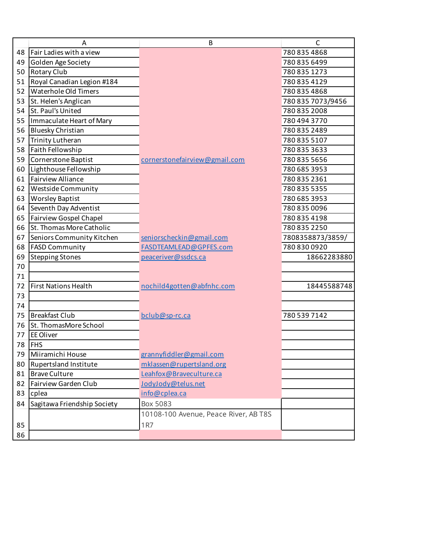|    | Α                           | B                                     | С                 |
|----|-----------------------------|---------------------------------------|-------------------|
| 48 | Fair Ladies with a view     |                                       | 780 835 4868      |
| 49 | Golden Age Society          |                                       | 780 835 6499      |
| 50 | Rotary Club                 |                                       | 780 835 1273      |
| 51 | Royal Canadian Legion #184  |                                       | 780 835 4129      |
| 52 | Waterhole Old Timers        |                                       | 780 835 4868      |
| 53 | St. Helen's Anglican        |                                       | 780 835 7073/9456 |
| 54 | St. Paul's United           |                                       | 780 835 2008      |
| 55 | Immaculate Heart of Mary    |                                       | 780 494 3770      |
| 56 | <b>Bluesky Christian</b>    |                                       | 780 835 2489      |
| 57 | Trinity Lutheran            |                                       | 780 835 5107      |
| 58 | Faith Fellowship            |                                       | 780 835 3633      |
| 59 | Cornerstone Baptist         | cornerstonefairview@gmail.com         | 780 835 5656      |
| 60 | Lighthouse Fellowship       |                                       | 780 685 3953      |
| 61 | <b>Fairview Alliance</b>    |                                       | 780 835 2361      |
| 62 | Westside Community          |                                       | 780 835 5355      |
| 63 | <b>Worsley Baptist</b>      |                                       | 780 685 3953      |
| 64 | Seventh Day Adventist       |                                       | 780 835 0096      |
| 65 | Fairview Gospel Chapel      |                                       | 780 835 4198      |
| 66 | St. Thomas More Catholic    |                                       | 780 835 2250      |
| 67 | Seniors Community Kitchen   | seniorscheckin@gmail.com              | 7808358873/3859/  |
| 68 | <b>FASD Community</b>       | FASDTEAMLEAD@GPFES.com                | 780 830 0920      |
| 69 | <b>Stepping Stones</b>      | peaceriver@ssdcs.ca                   | 18662283880       |
| 70 |                             |                                       |                   |
| 71 |                             |                                       |                   |
| 72 | <b>First Nations Health</b> | nochild4gotten@abfnhc.com             | 18445588748       |
| 73 |                             |                                       |                   |
| 74 |                             |                                       |                   |
| 75 | <b>Breakfast Club</b>       | bclub@sp-rc.ca                        | 780 539 7142      |
| 76 | St. ThomasMore School       |                                       |                   |
| 77 | EE Oliver                   |                                       |                   |
| 78 | <b>FHS</b>                  |                                       |                   |
| 79 | Miiramichi House            | grannyfiddler@gmail.com               |                   |
| 80 | Rupertsland Institute       | mklassen@rupertsland.org              |                   |
| 81 | <b>Brave Culture</b>        | Leahfox@Braveculture.ca               |                   |
| 82 | Fairview Garden Club        | JodyJody@telus.net                    |                   |
| 83 | cplea                       | info@cplea.ca                         |                   |
| 84 | Sagitawa Friendship Society | Box 5083                              |                   |
|    |                             | 10108-100 Avenue, Peace River, AB T8S |                   |
| 85 |                             | 1R7                                   |                   |
| 86 |                             |                                       |                   |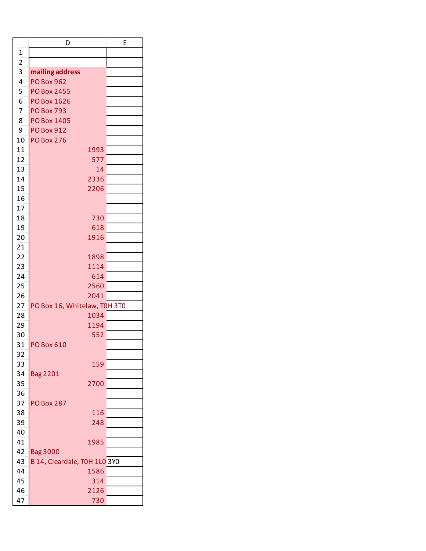|                | D                            | E |
|----------------|------------------------------|---|
| $\mathbf 1$    |                              |   |
| $\overline{2}$ |                              |   |
| 3              | mailing address              |   |
| 4              | <b>PO Box 962</b>            |   |
| 5              | <b>PO Box 2455</b>           |   |
| 6              | PO Box 1626                  |   |
| $\overline{7}$ | <b>PO Box 793</b>            |   |
| 8              | <b>PO Box 1405</b>           |   |
| 9              | <b>PO Box 912</b>            |   |
| 10             | <b>PO Box 276</b>            |   |
| 11             | 1993                         |   |
| 12             | 577                          |   |
| 13             | 14                           |   |
|                |                              |   |
| 14             | 2336                         |   |
| 15             | 2206                         |   |
| 16             |                              |   |
| 17             |                              |   |
| 18             | 730                          |   |
| 19             | 618                          |   |
| 20             | 1916                         |   |
| 21             |                              |   |
| 22             | 1898                         |   |
| 23             | 1114                         |   |
| 24             | 614                          |   |
| 25             | 2560                         |   |
| 26             | 2041                         |   |
| 27             | PO Box 16, Whitelaw, T0H 3T0 |   |
| 28             | 1034                         |   |
| 29             | 1194                         |   |
| 30             | 552                          |   |
| 31             | <b>PO Box 610</b>            |   |
| 32             |                              |   |
| 33             | 159                          |   |
|                |                              |   |
| 34             | <b>Bag 2201</b>              |   |
| 35             | 2700                         |   |
| 36             |                              |   |
| 37             | <b>PO Box 287</b>            |   |
| 38             | 116                          |   |
| 39             | 248                          |   |
| 40             |                              |   |
| 41             | 1985                         |   |
| 42             | <b>Bag 3000</b>              |   |
| 43             | B 14, Cleardale, TOH 1LO 3YO |   |
| 44             | 1586                         |   |
| 45             | 314                          |   |
| 46             | 2126                         |   |
| 47             | 730                          |   |
|                |                              |   |